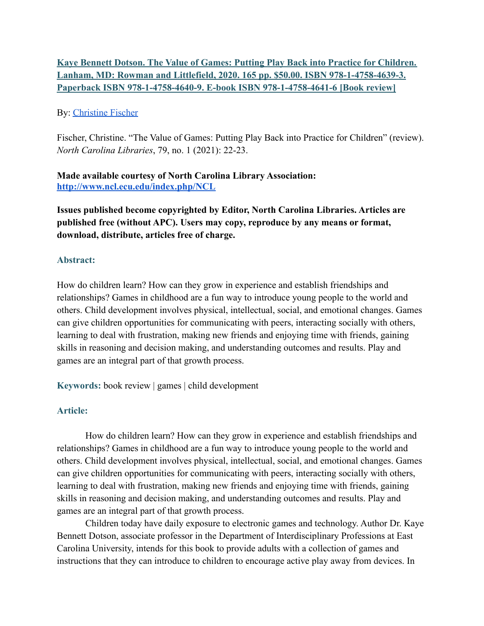# **Kaye Bennett Dotson. The Value of Games: Putting Play Back into Practice for Children. Lanham, MD: Rowman and Littlefield, 2020. 165 pp. \$50.00. ISBN 978-1-4758-4639-3. Paperback ISBN 978-1-4758-4640-9. E-book ISBN 978-1-4758-4641-6 [Book review]**

### By: [Christine Fischer](http://libres.uncg.edu/ir/uncg/clist.aspx?id=27)

Fischer, Christine. "The Value of Games: Putting Play Back into Practice for Children" (review). *North Carolina Libraries*, 79, no. 1 (2021): 22-23.

### **Made available courtesy of North Carolina Library Association: <http://www.ncl.ecu.edu/index.php/NCL>**

**Issues published become copyrighted by Editor, North Carolina Libraries. Articles are published free (without APC). Users may copy, reproduce by any means or format, download, distribute, articles free of charge.**

### **Abstract:**

How do children learn? How can they grow in experience and establish friendships and relationships? Games in childhood are a fun way to introduce young people to the world and others. Child development involves physical, intellectual, social, and emotional changes. Games can give children opportunities for communicating with peers, interacting socially with others, learning to deal with frustration, making new friends and enjoying time with friends, gaining skills in reasoning and decision making, and understanding outcomes and results. Play and games are an integral part of that growth process.

**Keywords:** book review | games | child development

## **Article:**

How do children learn? How can they grow in experience and establish friendships and relationships? Games in childhood are a fun way to introduce young people to the world and others. Child development involves physical, intellectual, social, and emotional changes. Games can give children opportunities for communicating with peers, interacting socially with others, learning to deal with frustration, making new friends and enjoying time with friends, gaining skills in reasoning and decision making, and understanding outcomes and results. Play and games are an integral part of that growth process.

Children today have daily exposure to electronic games and technology. Author Dr. Kaye Bennett Dotson, associate professor in the Department of Interdisciplinary Professions at East Carolina University, intends for this book to provide adults with a collection of games and instructions that they can introduce to children to encourage active play away from devices. In